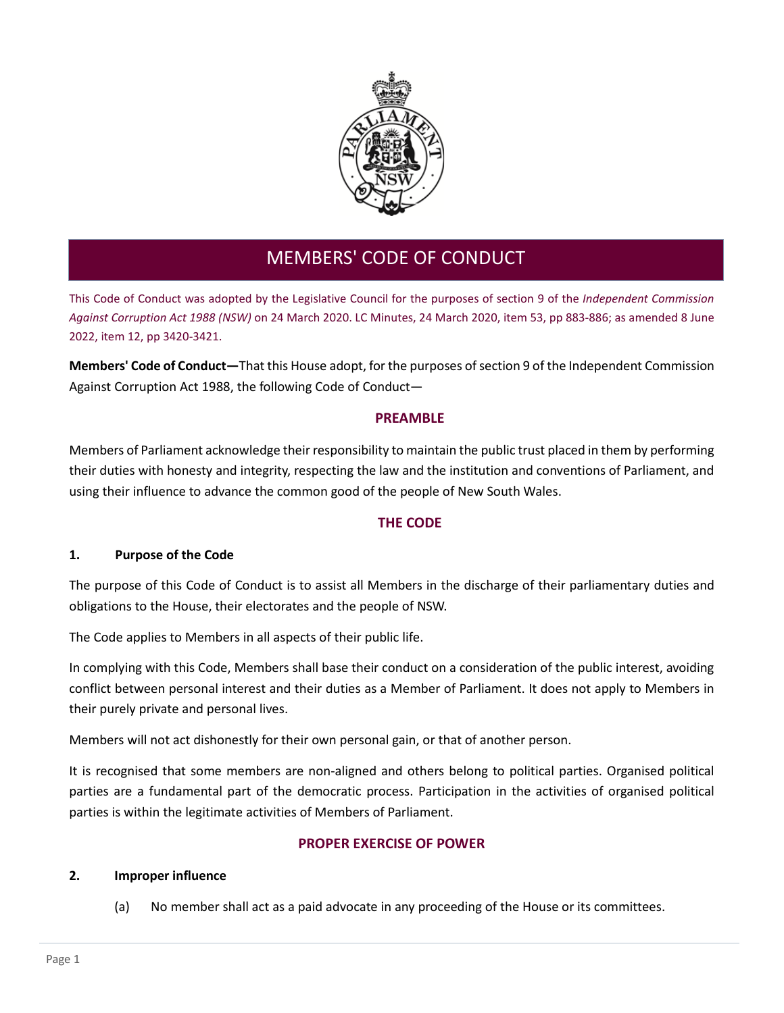

# MEMBERS' CODE OF CONDUCT

This Code of Conduct was adopted by the Legislative Council for the purposes of section 9 of the *Independent Commission Against Corruption Act 1988 (NSW)* on 24 March 2020. LC Minutes, 24 March 2020, item 53, pp 883-886; as amended 8 June 2022, item 12, pp 3420-3421.

**Members' Code of Conduct—**That this House adopt, for the purposes of section 9 of the Independent Commission Against Corruption Act 1988, the following Code of Conduct―

# **PREAMBLE**

Members of Parliament acknowledge their responsibility to maintain the public trust placed in them by performing their duties with honesty and integrity, respecting the law and the institution and conventions of Parliament, and using their influence to advance the common good of the people of New South Wales.

# **THE CODE**

## **1. Purpose of the Code**

The purpose of this Code of Conduct is to assist all Members in the discharge of their parliamentary duties and obligations to the House, their electorates and the people of NSW.

The Code applies to Members in all aspects of their public life.

In complying with this Code, Members shall base their conduct on a consideration of the public interest, avoiding conflict between personal interest and their duties as a Member of Parliament. It does not apply to Members in their purely private and personal lives.

Members will not act dishonestly for their own personal gain, or that of another person.

It is recognised that some members are non-aligned and others belong to political parties. Organised political parties are a fundamental part of the democratic process. Participation in the activities of organised political parties is within the legitimate activities of Members of Parliament.

## **PROPER EXERCISE OF POWER**

## **2. Improper influence**

(a) No member shall act as a paid advocate in any proceeding of the House or its committees.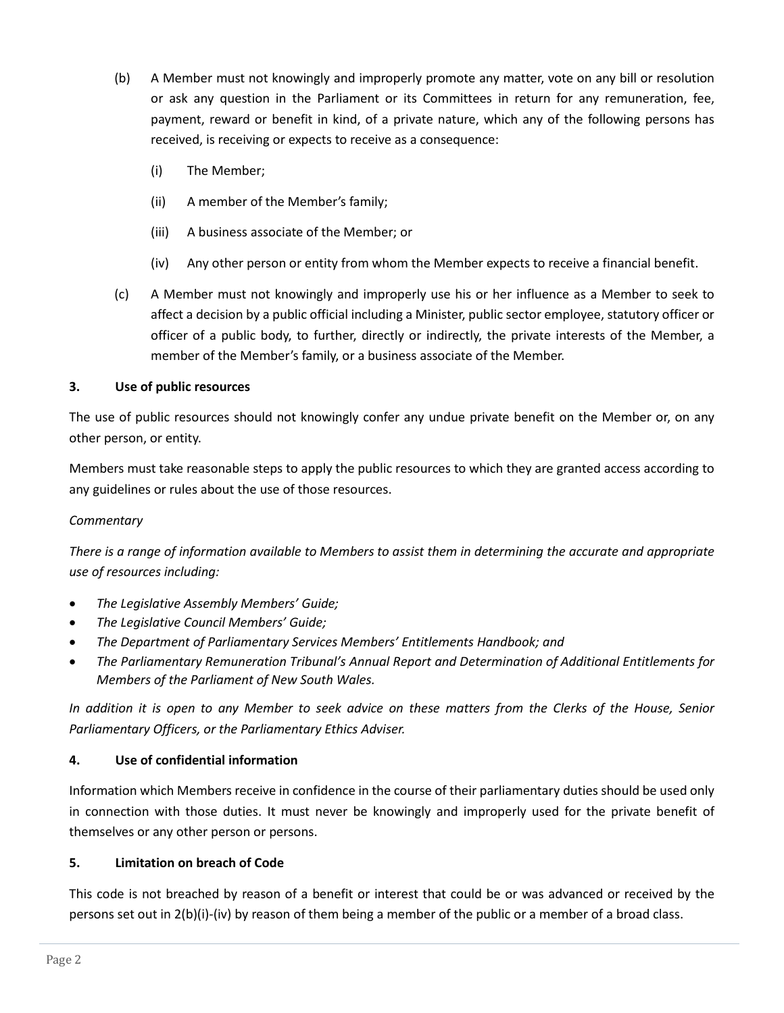- (b) A Member must not knowingly and improperly promote any matter, vote on any bill or resolution or ask any question in the Parliament or its Committees in return for any remuneration, fee, payment, reward or benefit in kind, of a private nature, which any of the following persons has received, is receiving or expects to receive as a consequence:
	- (i) The Member;
	- (ii) A member of the Member's family;
	- (iii) A business associate of the Member; or
	- (iv) Any other person or entity from whom the Member expects to receive a financial benefit.
- (c) A Member must not knowingly and improperly use his or her influence as a Member to seek to affect a decision by a public official including a Minister, public sector employee, statutory officer or officer of a public body, to further, directly or indirectly, the private interests of the Member, a member of the Member's family, or a business associate of the Member.

## **3. Use of public resources**

The use of public resources should not knowingly confer any undue private benefit on the Member or, on any other person, or entity.

Members must take reasonable steps to apply the public resources to which they are granted access according to any guidelines or rules about the use of those resources.

#### *Commentary*

*There is a range of information available to Members to assist them in determining the accurate and appropriate use of resources including:*

- *The Legislative Assembly Members' Guide;*
- *The Legislative Council Members' Guide;*
- *The Department of Parliamentary Services Members' Entitlements Handbook; and*
- *The Parliamentary Remuneration Tribunal's Annual Report and Determination of Additional Entitlements for Members of the Parliament of New South Wales.*

*In addition it is open to any Member to seek advice on these matters from the Clerks of the House, Senior Parliamentary Officers, or the Parliamentary Ethics Adviser.*

## **4. Use of confidential information**

Information which Members receive in confidence in the course of their parliamentary duties should be used only in connection with those duties. It must never be knowingly and improperly used for the private benefit of themselves or any other person or persons.

## **5. Limitation on breach of Code**

This code is not breached by reason of a benefit or interest that could be or was advanced or received by the persons set out in 2(b)(i)-(iv) by reason of them being a member of the public or a member of a broad class.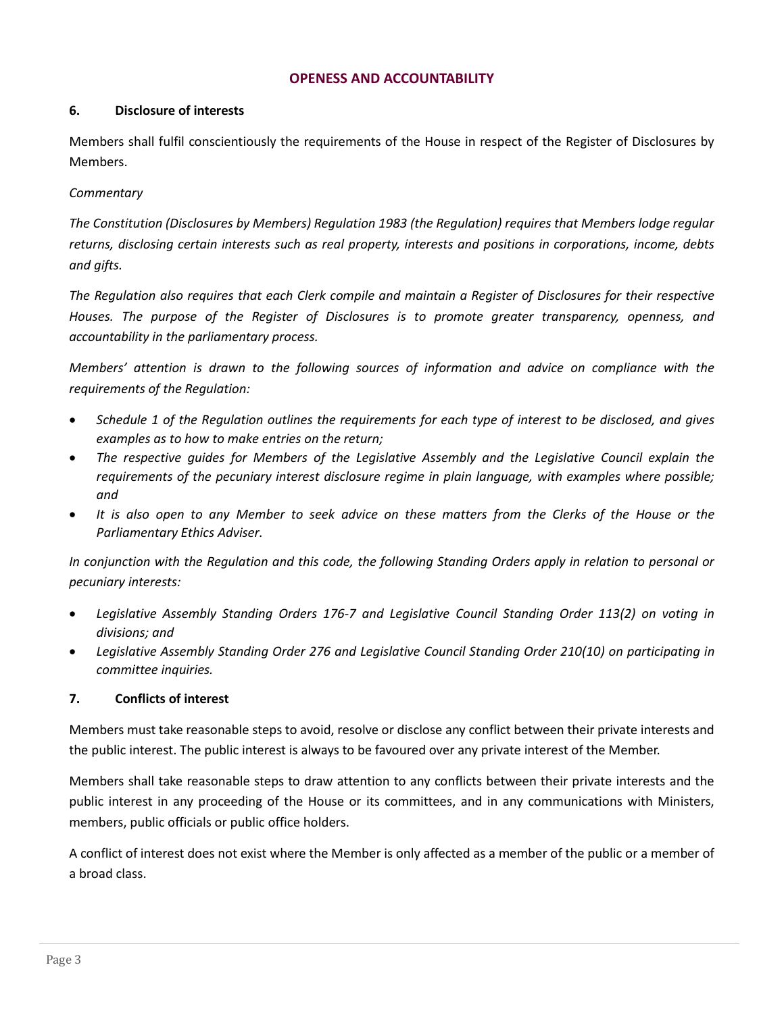## **OPENESS AND ACCOUNTABILITY**

#### **6. Disclosure of interests**

Members shall fulfil conscientiously the requirements of the House in respect of the Register of Disclosures by Members.

## *Commentary*

*The Constitution (Disclosures by Members) Regulation 1983 (the Regulation) requires that Members lodge regular returns, disclosing certain interests such as real property, interests and positions in corporations, income, debts and gifts.* 

*The Regulation also requires that each Clerk compile and maintain a Register of Disclosures for their respective Houses. The purpose of the Register of Disclosures is to promote greater transparency, openness, and accountability in the parliamentary process.* 

*Members' attention is drawn to the following sources of information and advice on compliance with the requirements of the Regulation:* 

- *Schedule 1 of the Regulation outlines the requirements for each type of interest to be disclosed, and gives examples as to how to make entries on the return;*
- *The respective guides for Members of the Legislative Assembly and the Legislative Council explain the requirements of the pecuniary interest disclosure regime in plain language, with examples where possible; and*
- *It is also open to any Member to seek advice on these matters from the Clerks of the House or the Parliamentary Ethics Adviser.*

*In conjunction with the Regulation and this code, the following Standing Orders apply in relation to personal or pecuniary interests:* 

- *Legislative Assembly Standing Orders 176-7 and Legislative Council Standing Order 113(2) on voting in divisions; and*
- *Legislative Assembly Standing Order 276 and Legislative Council Standing Order 210(10) on participating in committee inquiries.*

#### **7. Conflicts of interest**

Members must take reasonable steps to avoid, resolve or disclose any conflict between their private interests and the public interest. The public interest is always to be favoured over any private interest of the Member.

Members shall take reasonable steps to draw attention to any conflicts between their private interests and the public interest in any proceeding of the House or its committees, and in any communications with Ministers, members, public officials or public office holders.

A conflict of interest does not exist where the Member is only affected as a member of the public or a member of a broad class.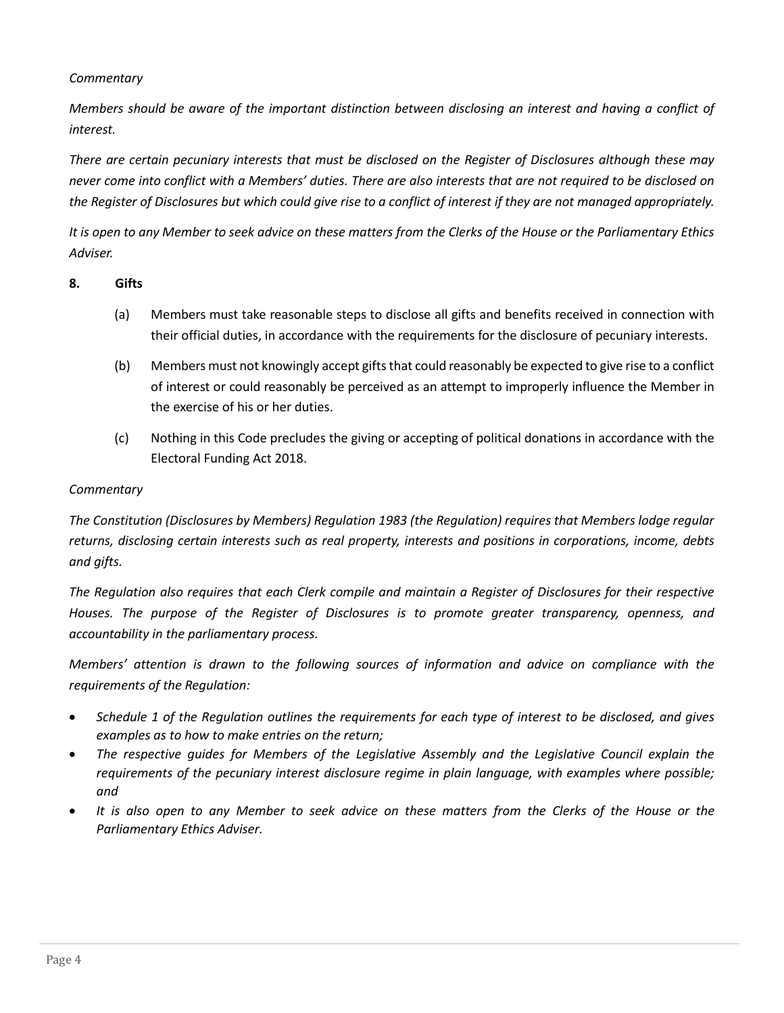## *Commentary*

*Members should be aware of the important distinction between disclosing an interest and having a conflict of interest.*

*There are certain pecuniary interests that must be disclosed on the Register of Disclosures although these may never come into conflict with a Members' duties. There are also interests that are not required to be disclosed on the Register of Disclosures but which could give rise to a conflict of interest if they are not managed appropriately.* 

*It is open to any Member to seek advice on these matters from the Clerks of the House or the Parliamentary Ethics Adviser.*

### **8. Gifts**

- (a) Members must take reasonable steps to disclose all gifts and benefits received in connection with their official duties, in accordance with the requirements for the disclosure of pecuniary interests.
- (b) Members must not knowingly accept gifts that could reasonably be expected to give rise to a conflict of interest or could reasonably be perceived as an attempt to improperly influence the Member in the exercise of his or her duties.
- (c) Nothing in this Code precludes the giving or accepting of political donations in accordance with the Electoral Funding Act 2018.

### *Commentary*

*The Constitution (Disclosures by Members) Regulation 1983 (the Regulation) requires that Members lodge regular returns, disclosing certain interests such as real property, interests and positions in corporations, income, debts and gifts.* 

*The Regulation also requires that each Clerk compile and maintain a Register of Disclosures for their respective Houses. The purpose of the Register of Disclosures is to promote greater transparency, openness, and accountability in the parliamentary process.* 

*Members' attention is drawn to the following sources of information and advice on compliance with the requirements of the Regulation:* 

- *Schedule 1 of the Regulation outlines the requirements for each type of interest to be disclosed, and gives examples as to how to make entries on the return;*
- *The respective guides for Members of the Legislative Assembly and the Legislative Council explain the requirements of the pecuniary interest disclosure regime in plain language, with examples where possible; and*
- *It is also open to any Member to seek advice on these matters from the Clerks of the House or the Parliamentary Ethics Adviser.*